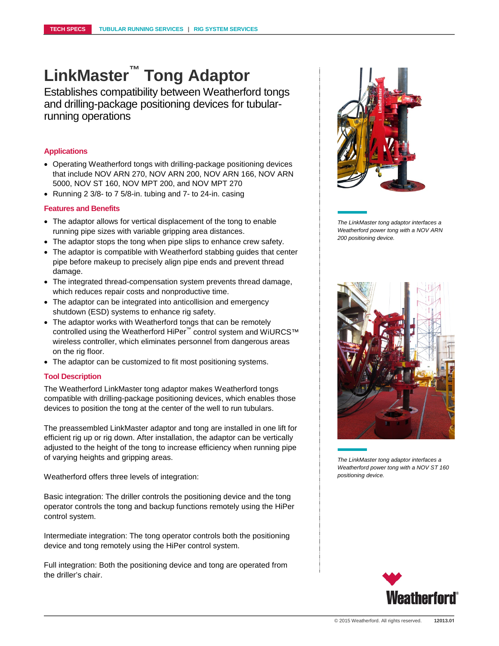## **LinkMaster™ Tong Adaptor**

Establishes compatibility between Weatherford tongs and drilling-package positioning devices for tubularrunning operations

### **Applications**

- Operating Weatherford tongs with drilling-package positioning devices that include NOV ARN 270, NOV ARN 200, NOV ARN 166, NOV ARN 5000, NOV ST 160, NOV MPT 200, and NOV MPT 270
- Running 2 3/8- to 7 5/8-in. tubing and 7- to 24-in. casing

### **Features and Benefits**

- The adaptor allows for vertical displacement of the tong to enable running pipe sizes with variable gripping area distances.
- The adaptor stops the tong when pipe slips to enhance crew safety.
- The adaptor is compatible with Weatherford stabbing guides that center pipe before makeup to precisely align pipe ends and prevent thread damage.
- The integrated thread-compensation system prevents thread damage, which reduces repair costs and nonproductive time.
- The adaptor can be integrated into anticollision and emergency shutdown (ESD) systems to enhance rig safety.
- The adaptor works with Weatherford tongs that can be remotely controlled using the Weatherford HiPer™ control system and WiURCS™ wireless controller, which eliminates personnel from dangerous areas on the rig floor.
- The adaptor can be customized to fit most positioning systems.

### **Tool Description**

The Weatherford LinkMaster tong adaptor makes Weatherford tongs compatible with drilling-package positioning devices, which enables those devices to position the tong at the center of the well to run tubulars.

The preassembled LinkMaster adaptor and tong are installed in one lift for efficient rig up or rig down. After installation, the adaptor can be vertically adjusted to the height of the tong to increase efficiency when running pipe of varying heights and gripping areas.

Weatherford offers three levels of integration:

Basic integration: The driller controls the positioning device and the tong operator controls the tong and backup functions remotely using the HiPer control system.

Intermediate integration: The tong operator controls both the positioning device and tong remotely using the HiPer control system.

Full integration: Both the positioning device and tong are operated from the driller's chair.



*The LinkMaster tong adaptor interfaces a Weatherford power tong with a NOV ARN 200 positioning device.* 



*The LinkMaster tong adaptor interfaces a Weatherford power tong with a NOV ST 160 positioning device.*